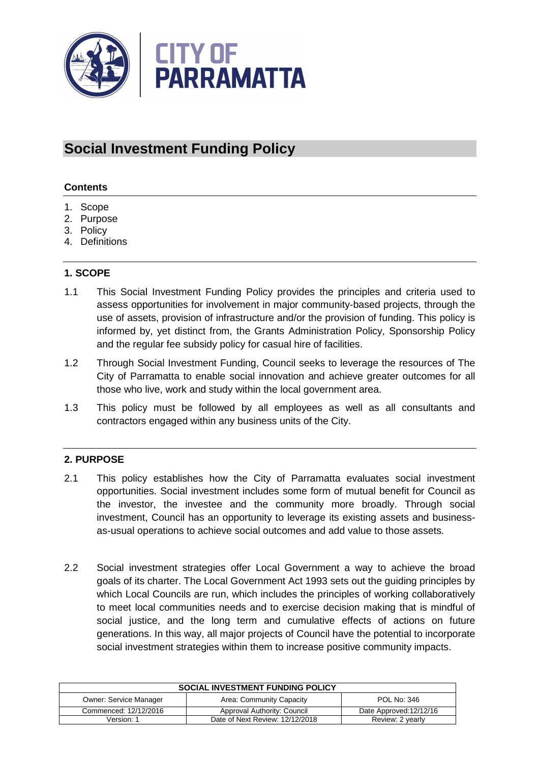

# **Social Investment Funding Policy**

## **Contents**

- 1. Scope
- 2. Purpose
- 3. Policy
- 4. Definitions

## **1. SCOPE**

- 1.1 This Social Investment Funding Policy provides the principles and criteria used to assess opportunities for involvement in major community-based projects, through the use of assets, provision of infrastructure and/or the provision of funding. This policy is informed by, yet distinct from, the Grants Administration Policy, Sponsorship Policy and the regular fee subsidy policy for casual hire of facilities.
- 1.2 Through Social Investment Funding, Council seeks to leverage the resources of The City of Parramatta to enable social innovation and achieve greater outcomes for all those who live, work and study within the local government area.
- 1.3 This policy must be followed by all employees as well as all consultants and contractors engaged within any business units of the City.

## **2. PURPOSE**

- 2.1 This policy establishes how the City of Parramatta evaluates social investment opportunities. Social investment includes some form of mutual benefit for Council as the investor, the investee and the community more broadly. Through social investment, Council has an opportunity to leverage its existing assets and businessas-usual operations to achieve social outcomes and add value to those assets.
- 2.2 Social investment strategies offer Local Government a way to achieve the broad goals of its charter. The Local Government Act 1993 sets out the guiding principles by which Local Councils are run, which includes the principles of working collaboratively to meet local communities needs and to exercise decision making that is mindful of social justice, and the long term and cumulative effects of actions on future generations. In this way, all major projects of Council have the potential to incorporate social investment strategies within them to increase positive community impacts.

| <b>SOCIAL INVESTMENT FUNDING POLICY</b> |                                 |                         |  |
|-----------------------------------------|---------------------------------|-------------------------|--|
| <b>Owner: Service Manager</b>           | Area: Community Capacity        | POL No: 346             |  |
| Commenced: 12/12/2016                   | Approval Authority: Council     | Date Approved: 12/12/16 |  |
| Version: 1                              | Date of Next Review: 12/12/2018 | Review: 2 yearly        |  |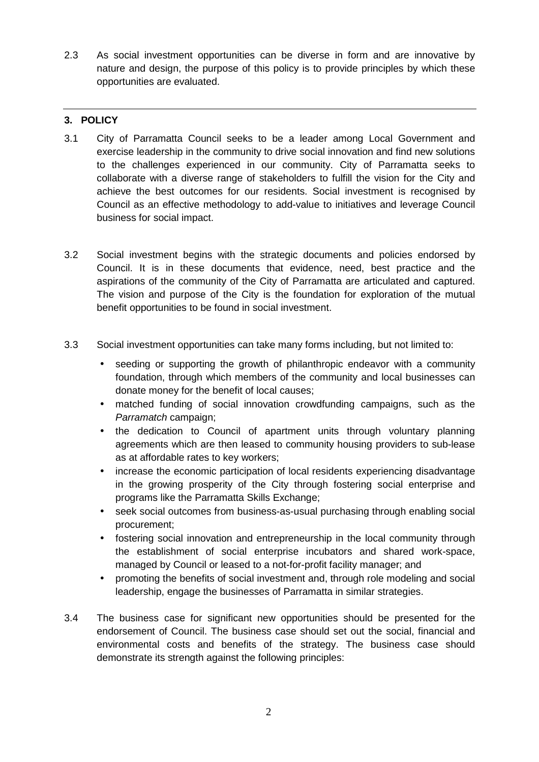2.3 As social investment opportunities can be diverse in form and are innovative by nature and design, the purpose of this policy is to provide principles by which these opportunities are evaluated.

# **3. POLICY**

- 3.1 City of Parramatta Council seeks to be a leader among Local Government and exercise leadership in the community to drive social innovation and find new solutions to the challenges experienced in our community. City of Parramatta seeks to collaborate with a diverse range of stakeholders to fulfill the vision for the City and achieve the best outcomes for our residents. Social investment is recognised by Council as an effective methodology to add-value to initiatives and leverage Council business for social impact.
- 3.2 Social investment begins with the strategic documents and policies endorsed by Council. It is in these documents that evidence, need, best practice and the aspirations of the community of the City of Parramatta are articulated and captured. The vision and purpose of the City is the foundation for exploration of the mutual benefit opportunities to be found in social investment.
- 3.3 Social investment opportunities can take many forms including, but not limited to:
	- seeding or supporting the growth of philanthropic endeavor with a community foundation, through which members of the community and local businesses can donate money for the benefit of local causes;
	- matched funding of social innovation crowdfunding campaigns, such as the Parramatch campaign;
	- the dedication to Council of apartment units through voluntary planning agreements which are then leased to community housing providers to sub-lease as at affordable rates to key workers;
	- increase the economic participation of local residents experiencing disadvantage in the growing prosperity of the City through fostering social enterprise and programs like the Parramatta Skills Exchange;
	- seek social outcomes from business-as-usual purchasing through enabling social procurement;
	- fostering social innovation and entrepreneurship in the local community through the establishment of social enterprise incubators and shared work-space, managed by Council or leased to a not-for-profit facility manager; and
	- promoting the benefits of social investment and, through role modeling and social leadership, engage the businesses of Parramatta in similar strategies.
- 3.4 The business case for significant new opportunities should be presented for the endorsement of Council. The business case should set out the social, financial and environmental costs and benefits of the strategy. The business case should demonstrate its strength against the following principles: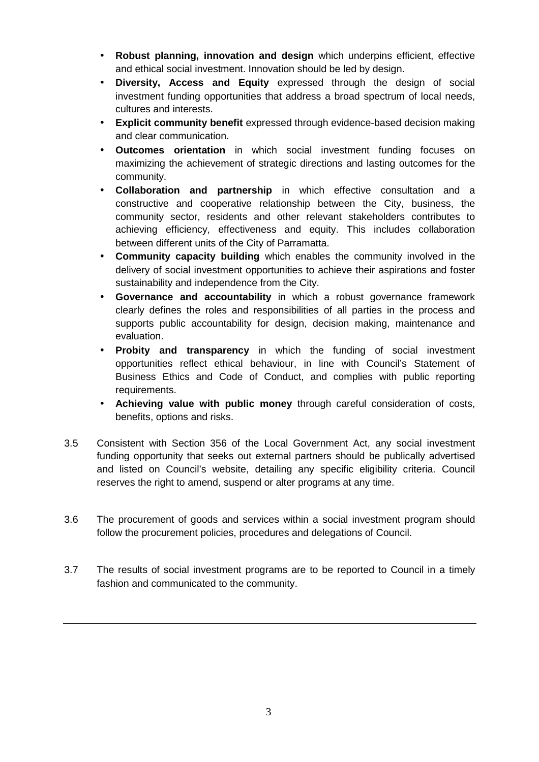- **Robust planning, innovation and design** which underpins efficient, effective and ethical social investment. Innovation should be led by design.
- **Diversity, Access and Equity** expressed through the design of social investment funding opportunities that address a broad spectrum of local needs, cultures and interests.
- **Explicit community benefit** expressed through evidence-based decision making and clear communication.
- **Outcomes orientation** in which social investment funding focuses on maximizing the achievement of strategic directions and lasting outcomes for the community.
- **Collaboration and partnership** in which effective consultation and a constructive and cooperative relationship between the City, business, the community sector, residents and other relevant stakeholders contributes to achieving efficiency, effectiveness and equity. This includes collaboration between different units of the City of Parramatta.
- **Community capacity building** which enables the community involved in the delivery of social investment opportunities to achieve their aspirations and foster sustainability and independence from the City.
- **Governance and accountability** in which a robust governance framework clearly defines the roles and responsibilities of all parties in the process and supports public accountability for design, decision making, maintenance and evaluation.
- **Probity and transparency** in which the funding of social investment opportunities reflect ethical behaviour, in line with Council's Statement of Business Ethics and Code of Conduct, and complies with public reporting requirements.
- **Achieving value with public money** through careful consideration of costs, benefits, options and risks.
- 3.5 Consistent with Section 356 of the Local Government Act, any social investment funding opportunity that seeks out external partners should be publically advertised and listed on Council's website, detailing any specific eligibility criteria. Council reserves the right to amend, suspend or alter programs at any time.
- 3.6 The procurement of goods and services within a social investment program should follow the procurement policies, procedures and delegations of Council.
- 3.7 The results of social investment programs are to be reported to Council in a timely fashion and communicated to the community.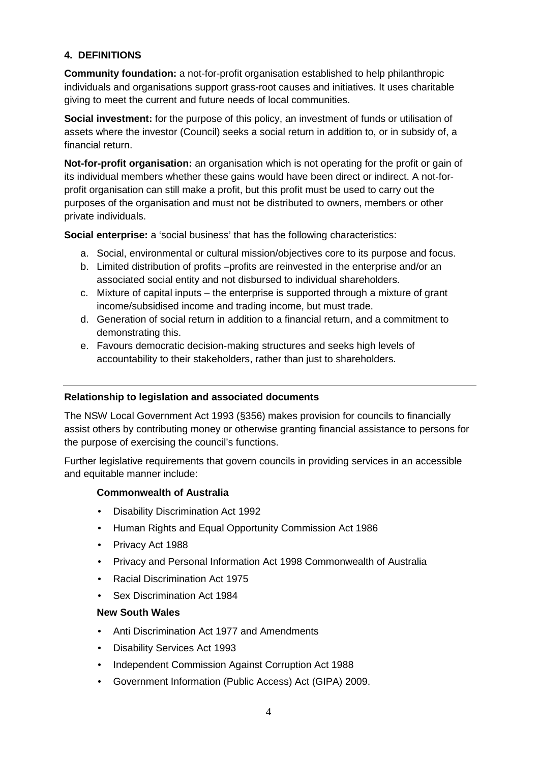## **4. DEFINITIONS**

**Community foundation:** a not-for-profit organisation established to help philanthropic individuals and organisations support grass-root causes and initiatives. It uses charitable giving to meet the current and future needs of local communities.

**Social investment:** for the purpose of this policy, an investment of funds or utilisation of assets where the investor (Council) seeks a social return in addition to, or in subsidy of, a financial return.

**Not-for-profit organisation:** an organisation which is not operating for the profit or gain of its individual members whether these gains would have been direct or indirect. A not-forprofit organisation can still make a profit, but this profit must be used to carry out the purposes of the organisation and must not be distributed to owners, members or other private individuals.

**Social enterprise:** a 'social business' that has the following characteristics:

- a. Social, environmental or cultural mission/objectives core to its purpose and focus.
- b. Limited distribution of profits –profits are reinvested in the enterprise and/or an associated social entity and not disbursed to individual shareholders.
- c. Mixture of capital inputs the enterprise is supported through a mixture of grant income/subsidised income and trading income, but must trade.
- d. Generation of social return in addition to a financial return, and a commitment to demonstrating this.
- e. Favours democratic decision-making structures and seeks high levels of accountability to their stakeholders, rather than just to shareholders.

#### **Relationship to legislation and associated documents**

The NSW Local Government Act 1993 (§356) makes provision for councils to financially assist others by contributing money or otherwise granting financial assistance to persons for the purpose of exercising the council's functions.

Further legislative requirements that govern councils in providing services in an accessible and equitable manner include:

### **Commonwealth of Australia**

- Disability Discrimination Act 1992
- Human Rights and Equal Opportunity Commission Act 1986
- Privacy Act 1988
- Privacy and Personal Information Act 1998 Commonwealth of Australia
- Racial Discrimination Act 1975
- Sex Discrimination Act 1984

#### **New South Wales**

- Anti Discrimination Act 1977 and Amendments
- Disability Services Act 1993
- Independent Commission Against Corruption Act 1988
- Government Information (Public Access) Act (GIPA) 2009.